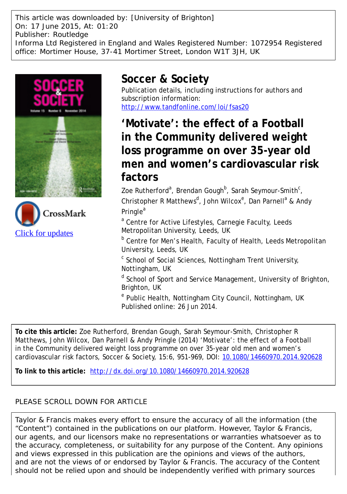This article was downloaded by: [University of Brighton] On: 17 June 2015, At: 01:20 Publisher: Routledge Informa Ltd Registered in England and Wales Registered Number: 1072954 Registered office: Mortimer House, 37-41 Mortimer Street, London W1T 3JH, UK





# **Soccer & Society**

Publication details, including instructions for authors and subscription information: <http://www.tandfonline.com/loi/fsas20>

**'Motivate': the effect of a Football in the Community delivered weight loss programme on over 35-year old men and women's cardiovascular risk factors**

Zoe Rutherford<sup>a</sup>, Brendan Gough<sup>b</sup>, Sarah Seymour-Smith<sup>c</sup>, Christopher R Matthews<sup>d</sup>, John Wilcox<sup>e</sup>, Dan Parnell<sup>a</sup> & Andy Pringle<sup>a</sup>

<sup>a</sup> Centre for Active Lifestyles, Carnegie Faculty, Leeds Metropolitan University, Leeds, UK

**b** Centre for Men's Health, Faculty of Health, Leeds Metropolitan University, Leeds, UK

<sup>c</sup> School of Social Sciences, Nottingham Trent University, Nottingham, UK

<sup>d</sup> School of Sport and Service Management, University of Brighton, Brighton, UK

<sup>e</sup> Public Health, Nottingham City Council, Nottingham, UK Published online: 26 Jun 2014.

**To cite this article:** Zoe Rutherford, Brendan Gough, Sarah Seymour-Smith, Christopher R Matthews, John Wilcox, Dan Parnell & Andy Pringle (2014) 'Motivate': the effect of a Football in the Community delivered weight loss programme on over 35-year old men and women's cardiovascular risk factors, Soccer & Society, 15:6, 951-969, DOI: [10.1080/14660970.2014.920628](http://www.tandfonline.com/action/showCitFormats?doi=10.1080/14660970.2014.920628)

**To link to this article:** <http://dx.doi.org/10.1080/14660970.2014.920628>

# PLEASE SCROLL DOWN FOR ARTICLE

Taylor & Francis makes every effort to ensure the accuracy of all the information (the "Content") contained in the publications on our platform. However, Taylor & Francis, our agents, and our licensors make no representations or warranties whatsoever as to the accuracy, completeness, or suitability for any purpose of the Content. Any opinions and views expressed in this publication are the opinions and views of the authors, and are not the views of or endorsed by Taylor & Francis. The accuracy of the Content should not be relied upon and should be independently verified with primary sources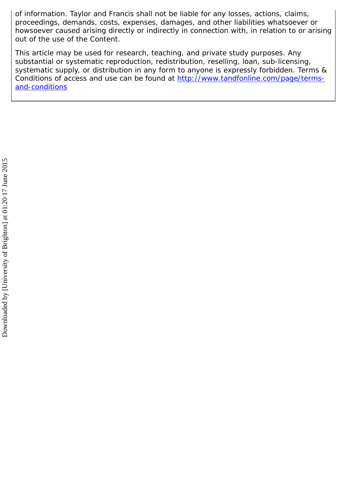of information. Taylor and Francis shall not be liable for any losses, actions, claims, proceedings, demands, costs, expenses, damages, and other liabilities whatsoever or howsoever caused arising directly or indirectly in connection with, in relation to or arising out of the use of the Content.

This article may be used for research, teaching, and private study purposes. Any substantial or systematic reproduction, redistribution, reselling, loan, sub-licensing, systematic supply, or distribution in any form to anyone is expressly forbidden. Terms & Conditions of access and use can be found at [http://www.tandfonline.com/page/terms](http://www.tandfonline.com/page/terms-and-conditions)[and-conditions](http://www.tandfonline.com/page/terms-and-conditions)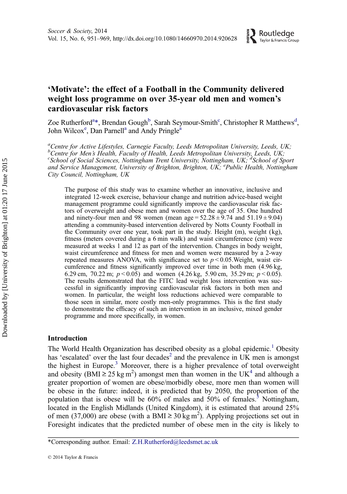# 'Motivate': the effect of a Football in the Community delivered weight loss programme on over 35-year old men and women's cardiovascular risk factors

Zoe Rutherford<sup>a\*</sup>, Brendan Gough<sup>b</sup>, Sarah Seymour-Smith<sup>c</sup>, Christopher R Matthews<sup>d</sup>, John Wilcox<sup>e</sup>, Dan Parnell<sup>a</sup> and Andy Pringle<sup>a</sup>

<sup>a</sup>Centre for Active Lifestyles, Carnegie Faculty, Leeds Metropolitan University, Leeds, UK; b<br>Centre for Men's Health, Faculty of Health, Leeds Metropolitan University, Leeds, UK;<br>"School of Social Sciences, Nattingham Trant University, Nattingham, UK; <sup>d</sup>School of St School of Social Sciences, Nottingham Trent University, Nottingham, UK; <sup>d</sup>School of Sport and Service Management, University of Brighton, Brighton, UK; <sup>e</sup>Public Health, Nottingham City Council, Nottingham, UK

The purpose of this study was to examine whether an innovative, inclusive and integrated 12-week exercise, behaviour change and nutrition advice-based weight management programme could significantly improve the cardiovascular risk factors of overweight and obese men and women over the age of 35. One hundred and ninety-four men and 98 women (mean age =  $52.28 \pm 9.74$  and  $51.19 \pm 9.04$ ) attending a community-based intervention delivered by Notts County Football in the Community over one year, took part in the study. Height (m), weight (kg), fitness (meters covered during a 6 min walk) and waist circumference (cm) were measured at weeks 1 and 12 as part of the intervention. Changes in body weight, waist circumference and fitness for men and women were measured by a 2-way repeated measures ANOVA, with significance set to  $p < 0.05$ . Weight, waist circumference and fitness significantly improved over time in both men (4.96 kg, 6.29 cm, 70.22 m;  $p < 0.05$ ) and women (4.26 kg, 5.90 cm, 35.29 m;  $p < 0.05$ ). The results demonstrated that the FITC lead weight loss intervention was successful in significantly improving cardiovascular risk factors in both men and women. In particular, the weight loss reductions achieved were comparable to those seen in similar, more costly men-only programmes. This is the first study to demonstrate the efficacy of such an intervention in an inclusive, mixed gender programme and more specifically, in women.

# Introduction

The World Health Organization has described obesity as a global epidemic.<sup>[1](#page-13-0)</sup> Obesity has 'escalated' over the last four decades<sup>[2](#page-13-0)</sup> and the prevalence in UK men is amongst the highest in Europe.<sup>[3](#page-13-0)</sup> Moreover, there is a higher prevalence of total overweight and obesity (BMI  $\geq$  25 kg m<sup>2</sup>) amongst men than women in the UK<sup>[4](#page-13-0)</sup> and although a greater proportion of women are obese/morbidly obese, more men than women will be obese in the future: indeed, it is predicted that by 2050, the proportion of the population that is obese will be  $60\%$  of males and  $50\%$  $50\%$  of females.<sup>5</sup> Nottingham, located in the English Midlands (United Kingdom), it is estimated that around 25% of men (37,000) are obese (with a BMI  $\geq 30 \text{ kg m}^2$ ). Applying projections set out in Foresight indicates that the predicted number of obese men in the city is likely to

<sup>\*</sup>Corresponding author. Email: [Z.H.Rutherford@leedsmet.ac.uk](mailto:Z.H.Rutherford@leedsmet.ac.uk)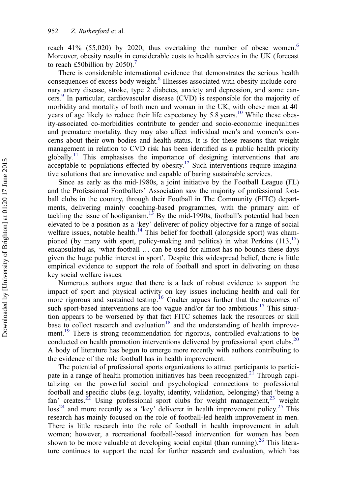reach 41% (55,020) by 2020, thus overtaking the number of obese women.<sup>[6](#page-13-0)</sup> Moreover, obesity results in considerable costs to health services in the UK (forecast to reach £50 billion by 2050).<sup>[7](#page-13-0)</sup>

There is considerable international evidence that demonstrates the serious health consequences of excess body weight.[8](#page-13-0) Illnesses associated with obesity include coronary artery disease, stroke, type 2 diabetes, anxiety and depression, and some cancers.[9](#page-13-0) In particular, cardiovascular disease (CVD) is responsible for the majority of morbidity and mortality of both men and woman in the UK, with obese men at 40 years of age likely to reduce their life expectancy by 5.8 years.<sup>10</sup> While these obesity-associated co-morbidities contribute to gender and socio-economic inequalities and premature mortality, they may also affect individual men's and women's concerns about their own bodies and health status. It is for these reasons that weight management in relation to CVD risk has been identified as a public health priority globally.<sup>[11](#page-13-0)</sup> This emphasises the importance of designing interventions that are  $\frac{1}{2}$  acceptable to populations effected by obesity.<sup>[12](#page-13-0)</sup> Such interventions require imaginative solutions that are innovative and capable of baring sustainable services.

Since as early as the mid-1980s, a joint initiative by the Football League (FL) and the Professional Footballers' Association saw the majority of professional football clubs in the country, through their Football in The Community (FITC) departments, delivering mainly coaching-based programmes, with the primary aim of tackling the issue of hooliganism.<sup>13</sup> By the mid-1990s, football's potential had been elevated to be a position as a 'key' deliverer of policy objective for a range of social welfare issues, notable health.<sup>[14](#page-14-0)</sup> This belief for football (alongside sport) was championed (by many with sport, policy-making and politics) in what Perkins  $(113,15)$  $(113,15)$ encapsulated as, 'what football … can be used for almost has no bounds these days given the huge public interest in sport'. Despite this widespread belief, there is little empirical evidence to support the role of football and sport in delivering on these key social welfare issues.

Numerous authors argue that there is a lack of robust evidence to support the impact of sport and physical activity on key issues including health and call for more rigorous and sustained testing.<sup>[16](#page-14-0)</sup> Coalter argues further that the outcomes of such sport-based interventions are too vague and/or far too ambitious.<sup>17</sup> This situation appears to be worsened by that fact FITC schemes lack the resources or skill base to collect research and evaluation<sup>[18](#page-14-0)</sup> and the understanding of health improve-ment.<sup>[19](#page-14-0)</sup> There is strong recommendation for rigorous, controlled evaluations to be conducted on health promotion interventions delivered by professional sport clubs.<sup>20</sup> A body of literature has begun to emerge more recently with authors contributing to the evidence of the role football has in health improvement.

The potential of professional sports organizations to attract participants to partici-pate in a range of health promotion initiatives has been recognized.<sup>[21](#page-14-0)</sup> Through capitalizing on the powerful social and psychological connections to professional football and specific clubs (e.g. loyalty, identity, validation, belonging) that 'being a fan' creates.<sup>[22](#page-14-0)</sup> Using professional sport clubs for weight management,<sup>23</sup> weight  $\cos^{24}$  and more recently as a 'key' deliverer in health improvement policy.<sup>[25](#page-14-0)</sup> This research has mainly focused on the role of football-led health improvement in men. There is little research into the role of football in health improvement in adult women; however, a recreational football-based intervention for women has been shown to be more valuable at developing social capital (than running).<sup>[26](#page-14-0)</sup> This literature continues to support the need for further research and evaluation, which has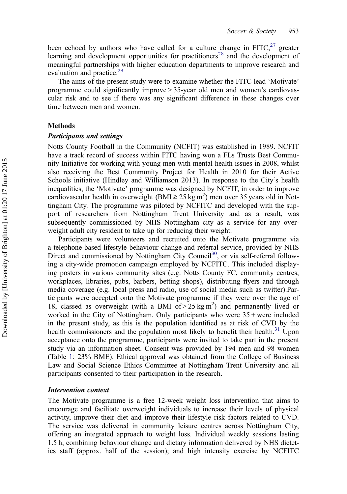been echoed by authors who have called for a culture change in  $FITC<sub>1</sub><sup>27</sup>$  $FITC<sub>1</sub><sup>27</sup>$  $FITC<sub>1</sub><sup>27</sup>$  greater learning and development opportunities for practitioners<sup>[28](#page-14-0)</sup> and the development of meaningful partnerships with higher education departments to improve research and evaluation and practice.<sup>[29](#page-14-0)</sup>

The aims of the present study were to examine whether the FITC lead 'Motivate' programme could significantly improve > 35-year old men and women's cardiovascular risk and to see if there was any significant difference in these changes over time between men and women.

# Methods

#### Participants and settings

Notts County Football in the Community (NCFIT) was established in 1989. NCFIT have a track record of success within FITC having won a FLs Trusts Best Community Initiative for working with young men with mental health issues in 2008, whilst also receiving the Best Community Project for Health in 2010 for their Active Schools initiative (Hindley and Williamson 2013). In response to the City's health inequalities, the 'Motivate' programme was designed by NCFIT, in order to improve cardiovascular health in overweight (BMI  $\geq$  25 kg m<sup>2</sup>) men over 35 years old in Nottingham City. The programme was piloted by NCFITC and developed with the support of researchers from Nottingham Trent University and as a result, was subsequently commissioned by NHS Nottingham city as a service for any overweight adult city resident to take up for reducing their weight.

Participants were volunteers and recruited onto the Motivate programme via a telephone-based lifestyle behaviour change and referral service, provided by NHS Direct and commissioned by Nottingham City Council<sup>30</sup>, or via self-referral following a city-wide promotion campaign employed by NCFITC. This included displaying posters in various community sites (e.g. Notts County FC, community centres, workplaces, libraries, pubs, barbers, betting shops), distributing flyers and through media coverage (e.g. local press and radio, use of social media such as twitter).Participants were accepted onto the Motivate programme if they were over the age of 18, classed as overweight (with a BMI of  $> 25 \text{ kg m}^2$ ) and permanently lived or worked in the City of Nottingham. Only participants who were  $35 +$  were included in the present study, as this is the population identified as at risk of CVD by the health commissioners and the population most likely to benefit their health.<sup>[31](#page-14-0)</sup> Upon acceptance onto the programme, participants were invited to take part in the present study via an information sheet. Consent was provided by 194 men and 98 women (Table [1](#page-5-0); 23% BME). Ethical approval was obtained from the College of Business Law and Social Science Ethics Committee at Nottingham Trent University and all participants consented to their participation in the research.

#### Intervention context

The Motivate programme is a free 12-week weight loss intervention that aims to encourage and facilitate overweight individuals to increase their levels of physical activity, improve their diet and improve their lifestyle risk factors related to CVD. The service was delivered in community leisure centres across Nottingham City, offering an integrated approach to weight loss. Individual weekly sessions lasting 1.5 h, combining behaviour change and dietary information delivered by NHS dietetics staff (approx. half of the session); and high intensity exercise by NCFITC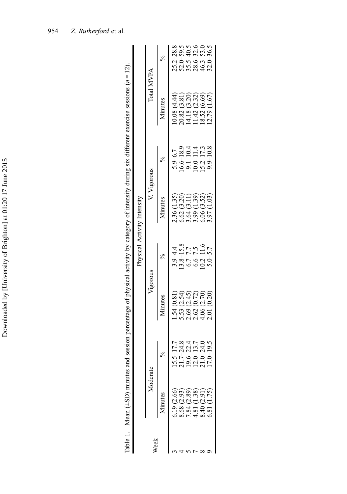<span id="page-5-0"></span>

|      | Table 1. Mean $(+SD)$ minutes and                        |                                    |                                           |                                   |                                           |                                                               | session percentage of physical activity by category of intensity during six different exercise sessions $(n = 12)$ . |                                                                  |
|------|----------------------------------------------------------|------------------------------------|-------------------------------------------|-----------------------------------|-------------------------------------------|---------------------------------------------------------------|----------------------------------------------------------------------------------------------------------------------|------------------------------------------------------------------|
|      |                                                          |                                    |                                           |                                   | Physical Activity Intensity               |                                                               |                                                                                                                      |                                                                  |
| /eek |                                                          | Moderate                           | Vigorous                                  |                                   | V. Vigorous                               |                                                               | Total MVPA                                                                                                           |                                                                  |
|      | dinutes                                                  |                                    | Minutes                                   |                                   | Minutes                                   |                                                               | Minutes                                                                                                              |                                                                  |
|      | 5.19 (2.66)                                              | $5 - 17.7$                         | 1.54(0.81)                                | $3.9 - 4.4$                       | 2.36 (1.35)                               | $5.9 - 6.7$                                                   | 0.08(4.44)                                                                                                           | $25.2 - 28.8$                                                    |
|      |                                                          | $7 - 24.8$                         | 5.53(2.54)                                |                                   |                                           |                                                               | 20.82 (3.81)                                                                                                         | $52.0 - 59.5$<br>$35.5 - 40.5$<br>$28.6 - 32.6$<br>$46.3 - 53.0$ |
|      |                                                          |                                    |                                           |                                   |                                           |                                                               | 14.18(3.20)                                                                                                          |                                                                  |
|      |                                                          | $6 - 22.4$<br>0-13.7               | 2.69 (2.45)<br>2.62 (0.72)<br>4.06 (2.70) | $13.8-15.8$<br>6.7-7.7<br>6.6-7.5 | 6.62 (3.20)<br>3.64 (3.11)<br>3.99 (1.39) | $\frac{16.6-18.9}{9.1-10.4}$<br>$\frac{10.0-11.4}{15.2-17.3}$ | $(1.42 \ (2.32))$                                                                                                    |                                                                  |
|      | 8.68 (2.93)<br>7.84 (2.89)<br>4.81 (1.38)<br>8.40 (2.91) | $0 - 24.0$<br>7.4600.0<br>7.9.17.7 |                                           | $0.2 - 11.6$                      | 6.06(3.52)                                |                                                               | 18.52(6.69)                                                                                                          |                                                                  |
|      | 5.81 (1.75)                                              | $-19.5$                            | 2.01(0.20)                                | $5.0 - 5.7$                       | 3.97 (1.03)                               | $9.9 - 10.8$                                                  | $12.79$ $(1.67)$                                                                                                     | $32.0 - 36.5$                                                    |
|      |                                                          |                                    |                                           |                                   |                                           |                                                               |                                                                                                                      |                                                                  |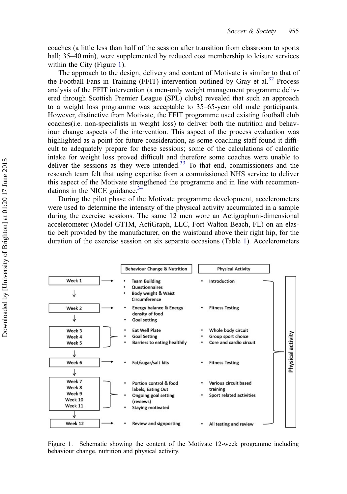coaches (a little less than half of the session after transition from classroom to sports hall; 35–40 min), were supplemented by reduced cost membership to leisure services within the City (Figure 1).

The approach to the design, delivery and content of Motivate is similar to that of the Football Fans in Training (FFIT) intervention outlined by Gray et al.<sup>[32](#page-14-0)</sup> Process analysis of the FFIT intervention (a men-only weight management programme delivered through Scottish Premier League (SPL) clubs) revealed that such an approach to a weight loss programme was acceptable to 35–65-year old male participants. However, distinctive from Motivate, the FFIT programme used existing football club coaches(i.e. non-specialists in weight loss) to deliver both the nutrition and behaviour change aspects of the intervention. This aspect of the process evaluation was highlighted as a point for future consideration, as some coaching staff found it difficult to adequately prepare for these sessions; some of the calculations of calorific intake for weight loss proved difficult and therefore some coaches were unable to deliver the sessions as they were intended. $33$  To that end, commissioners and the research team felt that using expertise from a commissioned NHS service to deliver this aspect of the Motivate strengthened the programme and in line with recommendations in the NICE guidance. $34$ 

During the pilot phase of the Motivate programme development, accelerometers were used to determine the intensity of the physical activity accumulated in a sample during the exercise sessions. The same 12 men wore an Actigraphuni-dimensional accelerometer (Model GT1M, ActiGraph, LLC, Fort Walton Beach, FL) on an elastic belt provided by the manufacturer, on the waistband above their right hip, for the duration of the exercise session on six separate occasions (Table [1\)](#page-5-0). Accelerometers



Figure 1. Schematic showing the content of the Motivate 12-week programme including behaviour change, nutrition and physical activity.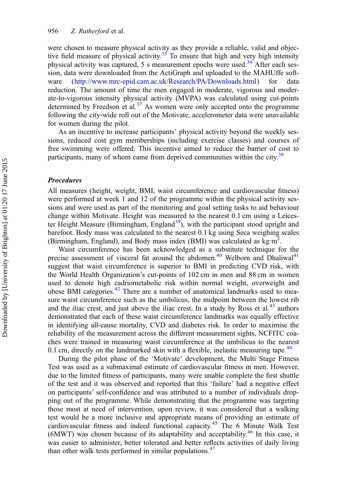were chosen to measure physical activity as they provide a reliable, valid and objec-tive field measure of physical activity.<sup>[35](#page-15-0)</sup> To ensure that high and very high intensity physical activity was captured, 5 s measurement epochs were used.<sup>36</sup> After each session, data were downloaded from the ActiGraph and uploaded to the MAHUffe software [\(http://www.mrc-epid.cam.ac.uk/Research/PA/Downloads.html](http://www.mrc-epid.cam.ac.uk/Research/PA/Downloads.html)) for data reduction. The amount of time the men engaged in moderate, vigorous and moderate-to-vigorous intensity physical activity (MVPA) was calculated using cut-points determined by Freedson et al.<sup>[37](#page-15-0)</sup> As women were only accepted onto the programme following the city-wide roll out of the Motivate, accelerometer data were unavailable for women during the pilot.

As an incentive to increase participants' physical activity beyond the weekly sessions, reduced cost gym memberships (including exercise classes) and courses of free swimming were offered. This incentive aimed to reduce the barrier of cost to participants, many of whom came from deprived communities within the city.<sup>[38](#page-15-0)</sup>

# Procedures

All measures (height, weight, BMI, waist circumference and cardiovascular fitness) were performed at week 1 and 12 of the programme within the physical activity sessions and were used as part of the monitoring and goal setting tasks to aid behaviour change within Motivate. Height was measured to the nearest 0.1 cm using a Leicester Height Measure (Birmingham, England<sup>39</sup>), with the participant stood upright and barefoot. Body mass was calculated to the nearest 0.1 kg using Seca weighing scales (Birmingham, England), and Body mass index (BMI) was calculated as kg·m<sup>2</sup>.

Waist circumference has been acknowledged as a substitute technique for the precise assessment of visceral fat around the abdomen.<sup>[40](#page-15-0)</sup> Welborn and Dhaliwal<sup>[41](#page-15-0)</sup> suggest that waist circumference is superior to BMI in predicting CVD risk, with the World Health Organization's cut-points of 102 cm in men and 88 cm in women used to denote high cadriometabolic risk within normal weight, overweight and obese BMI categories.<sup>[42](#page-15-0)</sup> There are a number of anatomical landmarks used to measure waist circumference such as the umbilicus, the midpoint between the lowest rib and the iliac crest, and just above the iliac crest. In a study by Ross et  $al.^{43}$  $al.^{43}$  $al.^{43}$  authors demonstrated that each of these waist circumference landmarks was equally effective in identifying all-cause mortality, CVD and diabetes risk. In order to maximise the reliability of the measurement across the different measurement sights, NCFITC coaches were trained in measuring waist circumference at the umbilicus to the nearest 0.1 cm, directly on the landmarked skin with a flexible, inelastic measuring tape.<sup>[44](#page-15-0)</sup>

During the pilot phase of the 'Motivate' development, the Multi Stage Fitness Test was used as a submaximal estimate of cardiovascular fitness in men. However, due to the limited fitness of participants, many were unable complete the first shuttle of the test and it was observed and reported that this 'failure' had a negative effect on participants' self-confidence and was attributed to a number of individuals dropping out of the programme. While demonstrating that the programme was targeting those most at need of intervention, upon review, it was considered that a walking test would be a more inclusive and appropriate means of providing an estimate of cardiovascular fitness and indeed functional capacity.<sup>45</sup> The 6 Minute Walk Test (6MWT) was chosen because of its adaptability and acceptability.[46](#page-15-0) In this case, it was easier to administer, better tolerated and better reflects activities of daily living than other walk tests performed in similar populations. $47$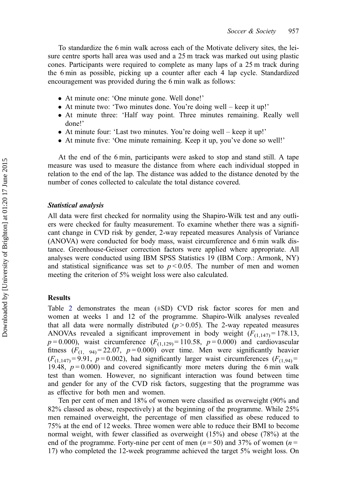To standardize the 6 min walk across each of the Motivate delivery sites, the leisure centre sports hall area was used and a 25 m track was marked out using plastic cones. Participants were required to complete as many laps of a 25 m track during the 6 min as possible, picking up a counter after each 4 lap cycle. Standardized encouragement was provided during the 6 min walk as follows:

- At minute one: 'One minute gone. Well done!'
- At minute two: 'Two minutes done. You're doing well keep it up!'
- At minute three: 'Half way point. Three minutes remaining. Really well done!'
- At minute four: 'Last two minutes. You're doing well keep it up!'
- At minute five: 'One minute remaining. Keep it up, you've done so well!'

At the end of the 6 min, participants were asked to stop and stand still. A tape measure was used to measure the distance from where each individual stopped in relation to the end of the lap. The distance was added to the distance denoted by the number of cones collected to calculate the total distance covered.

#### Statistical analysis

All data were first checked for normality using the Shapiro-Wilk test and any outliers were checked for faulty measurement. To examine whether there was a significant change in CVD risk by gender, 2-way repeated measures Analysis of Variance (ANOVA) were conducted for body mass, waist circumference and 6 min walk distance. Greenhouse-Geisser correction factors were applied where appropriate. All analyses were conducted using IBM SPSS Statistics 19 (IBM Corp.: Armonk, NY) and statistical significance was set to  $p < 0.05$ . The number of men and women meeting the criterion of 5% weight loss were also calculated.

#### Results

Table [2](#page-9-0) demonstrates the mean  $(\pm SD)$  CVD risk factor scores for men and women at weeks 1 and 12 of the programme. Shapiro-Wilk analyses revealed that all data were normally distributed  $(p > 0.05)$ . The 2-way repeated measures ANOVAs revealed a significant improvement in body weight  $(F_{(1,147)} = 178.13)$ ,  $p=0.000$ , waist circumference  $(F_{(1,129)}=110.58, p=0.000)$  and cardiovascular fitness  $(F_{(1, 94)} = 22.07, p = 0.000)$  over time. Men were significantly heavier  $(F_{(1,147)}=9.91, p=0.002)$ , had significantly larger waist circumferences  $(F_{(1,94)}=$ 19.48,  $p = 0.000$ ) and covered significantly more meters during the 6 min walk test than women. However, no significant interaction was found between time and gender for any of the CVD risk factors, suggesting that the programme was as effective for both men and women.

Ten per cent of men and 18% of women were classified as overweight (90% and 82% classed as obese, respectively) at the beginning of the programme. While 25% men remained overweight, the percentage of men classified as obese reduced to 75% at the end of 12 weeks. Three women were able to reduce their BMI to become normal weight, with fewer classified as overweight (15%) and obese (78%) at the end of the programme. Forty-nine per cent of men  $(n = 50)$  and 37% of women  $(n = 50)$ 17) who completed the 12-week programme achieved the target 5% weight loss. On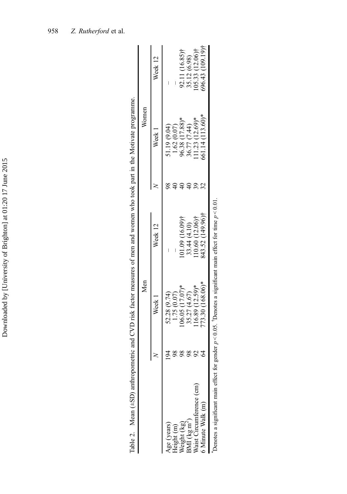<span id="page-9-0"></span>

|                    |                                                      |    |                   | Table 2. Mean $(+SD)$ anthropometric and CVD risk factor measures of men and women who took part in the Motivate programme. |    |                                |                 |
|--------------------|------------------------------------------------------|----|-------------------|-----------------------------------------------------------------------------------------------------------------------------|----|--------------------------------|-----------------|
|                    |                                                      |    | Men               |                                                                                                                             |    | Women                          |                 |
|                    |                                                      |    | Week 1            | Week 12                                                                                                                     |    | Week 1                         | Week 12         |
| Age (years)        |                                                      |    | 52.28 (9.74)      |                                                                                                                             |    | (1.19(9.04))                   |                 |
| leight (m)         |                                                      |    | 1.75(0.07)        |                                                                                                                             |    | 1.62(0.07)                     |                 |
| <b>Neight</b> (kg) |                                                      |    | $06.05(17.07)$ *  | $01.09(16.09)$ †                                                                                                            |    | 96.38 (17.88)*<br>36.77 (7.44) | 92.11 (16.85)†  |
|                    |                                                      | 86 | 35.27 (4.67)      | 33.44 (4.10)                                                                                                                |    |                                | 35.12 (6.98)    |
|                    | 3MI (kg m <sup>2</sup> )<br>Waist Circumference (cm) |    | $116.89(12.59)$ * | $110.60(12.06)$ †                                                                                                           | 39 | $11.23$ $(12.69)*$             | 05.33 (12.06)†  |
|                    | 6 Minute Walk (m)                                    |    | 73.30 (168.06)*   | 843.52 (149.96)†                                                                                                            |    | 561.14 (113.60)*               | 696.43 (109.19) |
|                    |                                                      |    |                   | Denotes a significant main effect for gender $p < 0.05$ . Denotes a significant main effect for time $p < 0.01$ .           |    |                                |                 |

| j<br>٤<br>tionst month of<br>.<br>.<br>.<br>)<br>j    |
|-------------------------------------------------------|
|                                                       |
| י<br>י                                                |
|                                                       |
| j                                                     |
|                                                       |
| :<br>j<br>l<br>į                                      |
| Ş                                                     |
|                                                       |
| $-2.044 + 0.040 + 0.040$<br>$\ddot{\phantom{0}}$<br>١ |
|                                                       |
| :<br>استعمال<br>١                                     |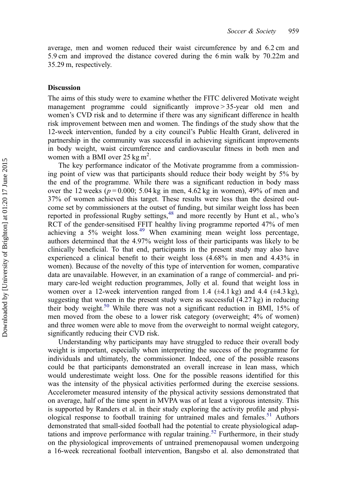average, men and women reduced their waist circumference by and 6.2 cm and 5.9 cm and improved the distance covered during the 6 min walk by 70.22m and 35.29 m, respectively.

#### Discussion

The aims of this study were to examine whether the FITC delivered Motivate weight management programme could significantly improve > 35-year old men and women's CVD risk and to determine if there was any significant difference in health risk improvement between men and women. The findings of the study show that the 12-week intervention, funded by a city council's Public Health Grant, delivered in partnership in the community was successful in achieving significant improvements in body weight, waist circumference and cardiovascular fitness in both men and women with a BMI over  $25 \text{ kg m}^2$ .

The key performance indicator of the Motivate programme from a commissioning point of view was that participants should reduce their body weight by 5% by the end of the programme. While there was a significant reduction in body mass over the 12 weeks ( $p = 0.000$ ; 5.04 kg in men, 4.62 kg in women), 49% of men and 37% of women achieved this target. These results were less than the desired outcome set by commissioners at the outset of funding, but similar weight loss has been reported in professional Rugby settings,  $48$  and more recently by Hunt et al., who's RCT of the gender-sensitised FFIT healthy living programme reported 47% of men achieving a 5% weight loss[.49](#page-15-0) When examining mean weight loss percentage, authors determined that the 4.97% weight loss of their participants was likely to be clinically beneficial. To that end, participants in the present study may also have experienced a clinical benefit to their weight loss (4.68% in men and 4.43% in women). Because of the novelty of this type of intervention for women, comparative data are unavailable. However, in an examination of a range of commercial- and primary care-led weight reduction programmes, Jolly et al. found that weight loss in women over a 12-week intervention ranged from 1.4  $(\pm 4.1 \text{ kg})$  and 4.4  $(\pm 4.3 \text{ kg})$ , suggesting that women in the present study were as successful (4.27 kg) in reducing their body weight.<sup>[50](#page-15-0)</sup> While there was not a significant reduction in BMI, 15% of men moved from the obese to a lower risk category (overweight; 4% of women) and three women were able to move from the overweight to normal weight category, significantly reducing their CVD risk.

Understanding why participants may have struggled to reduce their overall body weight is important, especially when interpreting the success of the programme for individuals and ultimately, the commissioner. Indeed, one of the possible reasons could be that participants demonstrated an overall increase in lean mass, which would underestimate weight loss. One for the possible reasons identified for this was the intensity of the physical activities performed during the exercise sessions. Accelerometer measured intensity of the physical activity sessions demonstrated that on average, half of the time spent in MVPA was of at least a vigorous intensity. This is supported by Randers et al. in their study exploring the activity profile and physi-ological response to football training for untrained males and females.<sup>[51](#page-15-0)</sup> Authors demonstrated that small-sided football had the potential to create physiological adap-tations and improve performance with regular training.<sup>[52](#page-15-0)</sup> Furthermore, in their study on the physiological improvements of untrained premenopausal women undergoing a 16-week recreational football intervention, Bangsbo et al. also demonstrated that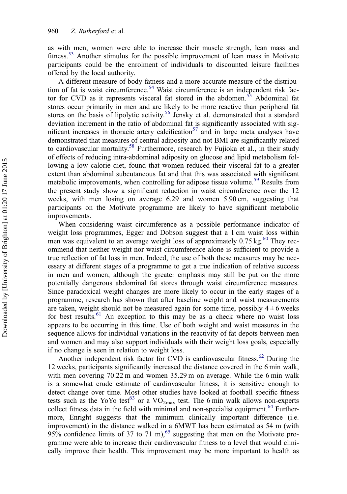as with men, women were able to increase their muscle strength, lean mass and fitness.<sup>[53](#page-15-0)</sup> Another stimulus for the possible improvement of lean mass in Motivate participants could be the enrolment of individuals to discounted leisure facilities offered by the local authority.

A different measure of body fatness and a more accurate measure of the distribu-tion of fat is waist circumference.<sup>[54](#page-15-0)</sup> Waist circumference is an independent risk factor for CVD as it represents visceral fat stored in the abdomen.<sup>55</sup> Abdominal fat stores occur primarily in men and are likely to be more reactive than peripheral fat stores on the basis of lipolytic activity.<sup>56</sup> Jensky et al. demonstrated that a standard deviation increment in the ratio of abdominal fat is significantly associated with sig-nificant increases in thoracic artery calcification<sup>[57](#page-16-0)</sup> and in large meta analyses have demonstrated that measures of central adiposity and not BMI are significantly related to cardiovascular mortality.<sup>[58](#page-16-0)</sup> Furthermore, research by Fujioka et al., in their study of effects of reducing intra-abdominal adiposity on glucose and lipid metabolism following a low calorie diet, found that women reduced their visceral fat to a greater extent than abdominal subcutaneous fat and that this was associated with significant metabolic improvements, when controlling for adipose tissue volume.<sup>[59](#page-16-0)</sup> Results from the present study show a significant reduction in waist circumference over the 12 weeks, with men losing on average 6.29 and women 5.90 cm, suggesting that participants on the Motivate programme are likely to have significant metabolic improvements.

When considering waist circumference as a possible performance indicator of weight loss programmes, Egger and Dobson suggest that a 1 cm waist loss within men was equivalent to an average weight loss of approximately  $0.75$  kg.<sup>[60](#page-16-0)</sup> They recommend that neither weight nor waist circumference alone is sufficient to provide a true reflection of fat loss in men. Indeed, the use of both these measures may be necessary at different stages of a programme to get a true indication of relative success in men and women, although the greater emphasis may still be put on the more potentially dangerous abdominal fat stores through waist circumference measures. Since paradoxical weight changes are more likely to occur in the early stages of a programme, research has shown that after baseline weight and waist measurements are taken, weight should not be measured again for some time, possibly  $4 \pm 6$  weeks for best results.<sup>[61](#page-16-0)</sup> An exception to this may be as a check where no waist loss appears to be occurring in this time. Use of both weight and waist measures in the sequence allows for individual variations in the reactivity of fat depots between men and women and may also support individuals with their weight loss goals, especially if no change is seen in relation to weight loss.

Another independent risk factor for CVD is cardiovascular fitness.<sup>[62](#page-16-0)</sup> During the 12 weeks, participants significantly increased the distance covered in the 6 min walk, with men covering 70.22 m and women 35.29 m on average. While the 6 min walk is a somewhat crude estimate of cardiovascular fitness, it is sensitive enough to detect change over time. Most other studies have looked at football specific fitness tests such as the YoYo test<sup>63</sup> or a  $VO_{2max}$  test. The 6 min walk allows non-experts collect fitness data in the field with minimal and non-specialist equipment.<sup>[64](#page-16-0)</sup> Furthermore, Enright suggests that the minimum clinically important difference (i.e. improvement) in the distance walked in a 6MWT has been estimated as 54 m (with  $95\%$  confidence limits of 37 to 71 m), <sup>[65](#page-16-0)</sup> suggesting that men on the Motivate programme were able to increase their cardiovascular fitness to a level that would clinically improve their health. This improvement may be more important to health as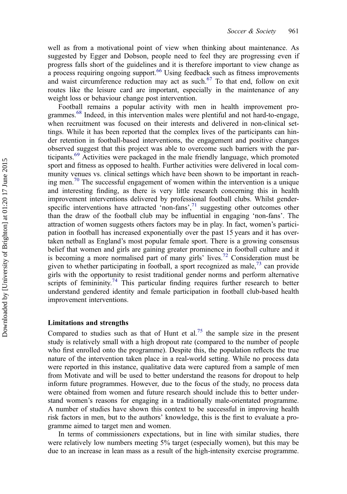well as from a motivational point of view when thinking about maintenance. As suggested by Egger and Dobson, people need to feel they are progressing even if progress falls short of the guidelines and it is therefore important to view change as a process requiring ongoing support.<sup>66</sup> Using feedback such as fitness improvements and waist circumference reduction may act as such. $67$  To that end, follow on exit routes like the leisure card are important, especially in the maintenance of any weight loss or behaviour change post intervention.

Football remains a popular activity with men in health improvement pro-grammes.<sup>[68](#page-16-0)</sup> Indeed, in this intervention males were plentiful and not hard-to-engage, when recruitment was focused on their interests and delivered in non-clinical settings. While it has been reported that the complex lives of the participants can hinder retention in football-based interventions, the engagement and positive changes observed suggest that this project was able to overcome such barriers with the participants.[69](#page-16-0) Activities were packaged in the male friendly language, which promoted sport and fitness as opposed to health. Further activities were delivered in local community venues vs. clinical settings which have been shown to be important in reaching men.<sup>70</sup> The successful engagement of women within the intervention is a unique and interesting finding, as there is very little research concerning this in health improvement interventions delivered by professional football clubs. Whilst genderspecific interventions have attracted 'non-fans', [71](#page-16-0) suggesting other outcomes other than the draw of the football club may be influential in engaging 'non-fans'. The attraction of women suggests others factors may be in play. In fact, women's participation in football has increased exponentially over the past 15 years and it has overtaken netball as England's most popular female sport. There is a growing consensus belief that women and girls are gaining greater prominence in football culture and it is becoming a more normalised part of many girls' lives.<sup>[72](#page-16-0)</sup> Consideration must be given to whether participating in football, a sport recognized as male, $^{73}$  can provide girls with the opportunity to resist traditional gender norms and perform alternative scripts of femininity.<sup>74</sup> This particular finding requires further research to better understand gendered identity and female participation in football club-based health improvement interventions.

#### Limitations and strengths

Compared to studies such as that of Hunt et al.<sup>[75](#page-16-0)</sup> the sample size in the present study is relatively small with a high dropout rate (compared to the number of people who first enrolled onto the programme). Despite this, the population reflects the true nature of the intervention taken place in a real-world setting. While no process data were reported in this instance, qualitative data were captured from a sample of men from Motivate and will be used to better understand the reasons for dropout to help inform future programmes. However, due to the focus of the study, no process data were obtained from women and future research should include this to better understand women's reasons for engaging in a traditionally male-orientated programme. A number of studies have shown this context to be successful in improving health risk factors in men, but to the authors' knowledge, this is the first to evaluate a programme aimed to target men and women.

In terms of commissioners expectations, but in line with similar studies, there were relatively low numbers meeting 5% target (especially women), but this may be due to an increase in lean mass as a result of the high-intensity exercise programme.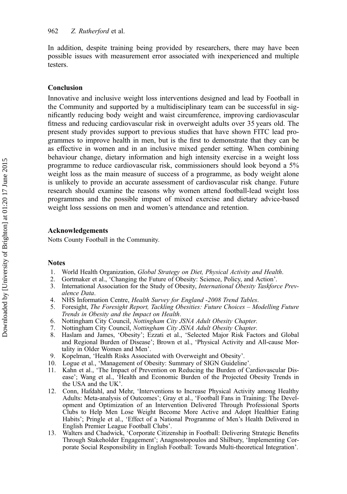<span id="page-13-0"></span>In addition, despite training being provided by researchers, there may have been possible issues with measurement error associated with inexperienced and multiple testers.

# Conclusion

Innovative and inclusive weight loss interventions designed and lead by Football in the Community and supported by a multidisciplinary team can be successful in significantly reducing body weight and waist circumference, improving cardiovascular fitness and reducing cardiovascular risk in overweight adults over 35 years old. The present study provides support to previous studies that have shown FITC lead programmes to improve health in men, but is the first to demonstrate that they can be as effective in women and in an inclusive mixed gender setting. When combining behaviour change, dietary information and high intensity exercise in a weight loss programme to reduce cardiovascular risk, commissioners should look beyond a 5% weight loss as the main measure of success of a programme, as body weight alone is unlikely to provide an accurate assessment of cardiovascular risk change. Future research should examine the reasons why women attend football-lead weight loss programmes and the possible impact of mixed exercise and dietary advice-based weight loss sessions on men and women's attendance and retention.

#### Acknowledgements

Notts County Football in the Community.

### **Notes**

- 1. World Health Organization, Global Strategy on Diet, Physical Activity and Health.
- 2. Gortmaker et al., 'Changing the Future of Obesity: Science, Policy, and Action'.<br>3. International Association for the Study of Obesity. International Obesity Taskford
- International Association for the Study of Obesity, *International Obesity Taskforce Prev*alence Data.
- 4. NHS Information Centre, Health Survey for England -2008 Trend Tables.
- 5. Foresight, The Foresight Report, Tackling Obesities: Future Choices Modelling Future Trends in Obesity and the Impact on Health.
- 6. Nottingham City Council, Nottingham City JSNA Adult Obesity Chapter.
- 7. Nottingham City Council, Nottingham City JSNA Adult Obesity Chapter.
- 8. Haslam and James, 'Obesity'; Ezzati et al., 'Selected Major Risk Factors and Global and Regional Burden of Disease'; Brown et al., 'Physical Activity and All-cause Mortality in Older Women and Men'.
- 9. Kopelman, 'Health Risks Associated with Overweight and Obesity'.
- 10. Logue et al., 'Management of Obesity: Summary of SIGN Guideline'.
- 11. Kahn et al., 'The Impact of Prevention on Reducing the Burden of Cardiovascular Disease'; Wang et al., 'Health and Economic Burden of the Projected Obesity Trends in the USA and the UK'.
- 12. Conn, Hafdahl, and Mehr, 'Interventions to Increase Physical Activity among Healthy Adults: Meta-analysis of Outcomes'; Gray et al., 'Football Fans in Training: The Development and Optimization of an Intervention Delivered Through Professional Sports Clubs to Help Men Lose Weight Become More Active and Adopt Healthier Eating Habits'; Pringle et al., 'Effect of a National Programme of Men's Health Delivered in English Premier League Football Clubs'.
- 13. Walters and Chadwick, 'Corporate Citizenship in Football: Delivering Strategic Benefits Through Stakeholder Engagement'; Anagnostopoulos and Shilbury, 'Implementing Corporate Social Responsibility in English Football: Towards Multi-theoretical Integration'.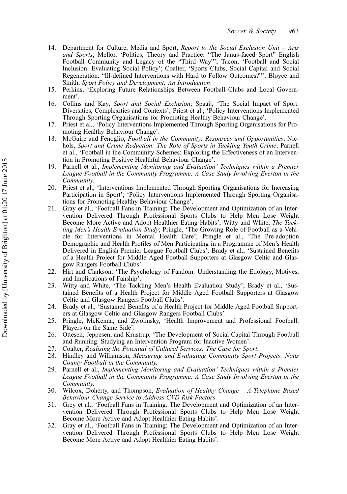- <span id="page-14-0"></span>14. Department for Culture, Media and Sport, Report to the Social Exclusion Unit – Arts and Sports; Mellor, 'Politics, Theory and Practice: "The Janus-faced Sport" English Football Community and Legacy of the "Third Way"'; Tacon, 'Football and Social Inclusion: Evaluating Social Policy'; Coalter, 'Sports Clubs, Social Capital and Social Regeneration: "Ill-defined Interventions with Hard to Follow Outcomes?"'; Bloyce and Smith, Sport Policy and Development: An Introduction.
- 15. Perkins, 'Exploring Future Relationships Between Football Clubs and Local Government'.
- 16. Collins and Kay, Sport and Social Exclusion; Spaaij, 'The Social Impact of Sport: Diversities, Complexities and Contexts'; Priest et al., 'Policy Interventions Implemented Through Sporting Organisations for Promoting Healthy Behaviour Change'.
- 17. Priest et al., 'Policy Interventions Implemented Through Sporting Organisations for Promoting Healthy Behaviour Change'.
- 18. McGuire and Fenoglio, Football in the Community: Resources and Opportunities; Nichols, Sport and Crime Reduction: The Role of Sports in Tackling Youth Crime; Parnell et al., 'Football in the Community Schemes: Exploring the Effectiveness of an Intervention in Promoting Positive Healthful Behaviour Change'.
- 19. Parnell et al., Implementing Monitoring and Evaluation' Techniques within a Premier League Football in the Community Programme: A Case Study Involving Everton in the Community.
- 20. Priest et al., 'Interventions Implemented Through Sporting Organisations for Increasing Participation in Sport'; 'Policy Interventions Implemented Through Sporting Organisations for Promoting Healthy Behaviour Change'.
- 21. Gray et al., 'Football Fans in Training: The Development and Optimization of an Intervention Delivered Through Professional Sports Clubs to Help Men Lose Weight Become More Active and Adopt Healthier Eating Habits'; Witty and White, The Tackling Men's Health Evaluation Study; Pringle, 'The Growing Role of Football as a Vehicle for Interventions in Mental Health Care'; Pringle et al., 'The Pre-adoption Demographic and Health Profiles of Men Participating in a Programme of Men's Health Delivered in English Premier League Football Clubs'; Brady et al., 'Sustained Benefits of a Health Project for Middle Aged Football Supporters at Glasgow Celtic and Glasgow Rangers Football Clubs'.
- 22. Hirt and Clarkson, 'The Psychology of Fandom: Understanding the Etiology, Motives, and Implications of Fanship'.
- 23. Witty and White, 'The Tackling Men's Health Evaluation Study'; Brady et al., 'Sustained Benefits of a Health Project for Middle Aged Football Supporters at Glasgow Celtic and Glasgow Rangers Football Clubs'.
- 24. Brady et al., 'Sustained Benefits of a Health Project for Middle Aged Football Supporters at Glasgow Celtic and Glasgow Rangers Football Clubs'.
- 25. Pringle, McKenna, and Zwolinsky, 'Health Improvement and Professional Football: Players on the Same Side'.
- 26. Ottesen, Jeppesen, and Krustrup, 'The Development of Social Capital Through Football and Running: Studying an Intervention Program for Inactive Women'.
- 27. Coalter, Realising the Potential of Cultural Services: The Case for Sport.<br>28. Hindley and Williamson, Measuring and Evaluating Community Sport
- Hindley and Williamson, Measuring and Evaluating Community Sport Projects: Notts County Football in the Community.
- 29. Parnell et al., Implementing Monitoring and Evaluation' Techniques within a Premier League Football in the Community Programme: A Case Study Involving Everton in the Community.
- 30. Wilcox, Doherty, and Thompson, Evaluation of Healthy Change A Telephone Based Behaviour Change Service to Address CVD Risk Factors.
- 31. Grey et al., 'Football Fans in Training: The Development and Optimization of an Intervention Delivered Through Professional Sports Clubs to Help Men Lose Weight Become More Active and Adopt Healthier Eating Habits'.
- 32. Gray et al., 'Football Fans in Training: The Development and Optimization of an Intervention Delivered Through Professional Sports Clubs to Help Men Lose Weight Become More Active and Adopt Healthier Eating Habits'.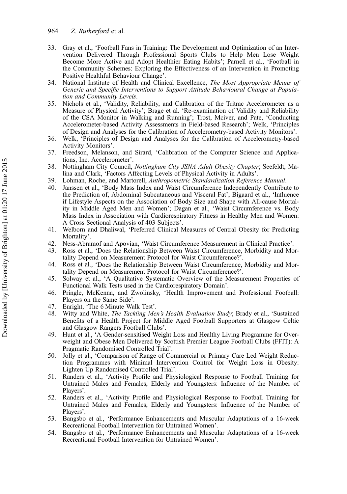- <span id="page-15-0"></span>33. Gray et al., 'Football Fans in Training: The Development and Optimization of an Intervention Delivered Through Professional Sports Clubs to Help Men Lose Weight Become More Active and Adopt Healthier Eating Habits'; Parnell et al., 'Football in the Community Schemes: Exploring the Effectiveness of an Intervention in Promoting Positive Healthful Behaviour Change'.
- 34. National Institute of Health and Clinical Excellence, The Most Appropriate Means of Generic and Specific Interventions to Support Attitude Behavioural Change at Population and Community Levels.
- 35. Nichols et al., 'Validity, Reliability, and Calibration of the Tritrac Accelerometer as a Measure of Physical Activity'; Brage et al. 'Re-examination of Validity and Reliability of the CSA Monitor in Walking and Running'; Trost, Mciver, and Pate, 'Conducting Accelerometer-based Activity Assessments in Field-based Research'; Welk, 'Principles of Design and Analyses for the Calibration of Accelerometry-based Activity Monitors'.
- 36. Welk, 'Principles of Design and Analyses for the Calibration of Accelerometry-based Activity Monitors'.
- 37. Freedson, Melanson, and Sirard, 'Calibration of the Computer Science and Applications, Inc. Accelerometer'.
- 38. Nottingham City Council, Nottingham City JSNA Adult Obesity Chapter; Seefeldt, Malina and Clark, 'Factors Affecting Levels of Physical Activity in Adults'.
- 39. Lohman, Roche, and Martorell, Anthropometric Standardization Reference Manual.
- 40. Janssen et al., 'Body Mass Index and Waist Circumference Independently Contribute to the Prediction of, Abdominal Subcutaneous and Visceral Fat'; Bigaard et al., 'Influence if Lifestyle Aspects on the Association of Body Size and Shape with All-cause Mortality in Middle Aged Men and Women'; Dagan et al., 'Waist Circumference vs. Body Mass Index in Association with Cardiorespiratory Fitness in Healthy Men and Women: A Cross Sectional Analysis of 403 Subjects'.
- 41. Welborn and Dhaliwal, 'Preferred Clinical Measures of Central Obesity for Predicting Mortality'.
- 42. Ness-Abramof and Apovian, 'Waist Circumference Measurement in Clinical Practice'.
- 43. Ross et al., 'Does the Relationship Between Waist Circumference, Morbidity and Mortality Depend on Measurement Protocol for Waist Circumference?'.
- 44. Ross et al., 'Does the Relationship Between Waist Circumference, Morbidity and Mortality Depend on Measurement Protocol for Waist Circumference?'.
- 45. Solway et al., 'A Qualitative Systematic Overview of the Measurement Properties of Functional Walk Tests used in the Cardiorespiratory Domain'.
- 46. Pringle, McKenna, and Zwolinsky, 'Health Improvement and Professional Football: Players on the Same Side'.
- 47. Enright, 'The 6 Minute Walk Test'.
- 48. Witty and White, The Tackling Men's Health Evaluation Study; Brady et al., 'Sustained Benefits of a Health Project for Middle Aged Football Supporters at Glasgow Celtic and Glasgow Rangers Football Clubs'.
- 49. Hunt et al., 'A Gender-sensitised Weight Loss and Healthy Living Programme for Overweight and Obese Men Delivered by Scottish Premier League Football Clubs (FFIT): A Pragmatic Randomised Controlled Trial'.
- 50. Jolly et al., 'Comparison of Range of Commercial or Primary Care Led Weight Reduction Programmes with Minimal Intervention Control for Weight Loss in Obesity: Lighten Up Randomised Controlled Trial'.
- 51. Randers et al., 'Activity Profile and Physiological Response to Football Training for Untrained Males and Females, Elderly and Youngsters: Influence of the Number of Players'.
- 52. Randers et al., 'Activity Profile and Physiological Response to Football Training for Untrained Males and Females, Elderly and Youngsters: Influence of the Number of Players'.
- 53. Bangsbo et al., 'Performance Enhancements and Muscular Adaptations of a 16-week Recreational Football Intervention for Untrained Women'.
- 54. Bangsbo et al., 'Performance Enhancements and Muscular Adaptations of a 16-week Recreational Football Intervention for Untrained Women'.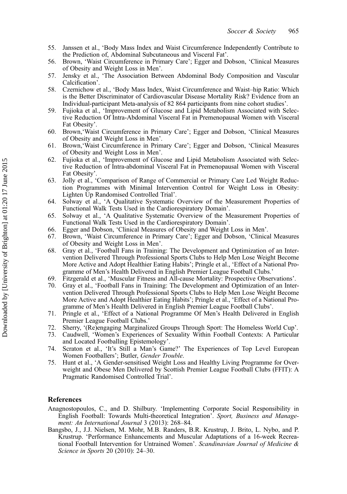- <span id="page-16-0"></span>55. Janssen et al., 'Body Mass Index and Waist Circumference Independently Contribute to the Prediction of, Abdominal Subcutaneous and Visceral Fat'.
- 56. Brown, 'Waist Circumference in Primary Care'; Egger and Dobson, 'Clinical Measures of Obesity and Weight Loss in Men'.
- 57. Jensky et al., 'The Association Between Abdominal Body Composition and Vascular Calcification'.
- 58. Czernichow et al., 'Body Mass Index, Waist Circumference and Waist–hip Ratio: Which is the Better Discriminator of Cardiovascular Disease Mortality Risk? Evidence from an Individual-participant Meta-analysis of 82 864 participants from nine cohort studies'.
- 59. Fujioka et al., 'Improvement of Glucose and Lipid Metabolism Associated with Selective Reduction Of Intra-Abdominal Visceral Fat in Premenopausal Women with Visceral Fat Obesity'.
- 60. Brown,'Waist Circumference in Primary Care'; Egger and Dobson, 'Clinical Measures of Obesity and Weight Loss in Men'.
- 61. Brown,'Waist Circumference in Primary Care'; Egger and Dobson, 'Clinical Measures of Obesity and Weight Loss in Men'.
- 62. Fujioka et al., 'Improvement of Glucose and Lipid Metabolism Associated with Selective Reduction of Intra-abdominal Visceral Fat in Premenopausal Women with Visceral Fat Obesity'.
- 63. Jolly et al., 'Comparison of Range of Commercial or Primary Care Led Weight Reduction Programmes with Minimal Intervention Control for Weight Loss in Obesity: Lighten Up Randomised Controlled Trial'.
- 64. Solway et al., 'A Qualitative Systematic Overview of the Measurement Properties of Functional Walk Tests Used in the Cardiorespiratory Domain'.
- 65. Solway et al., 'A Qualitative Systematic Overview of the Measurement Properties of Functional Walk Tests Used in the Cardiorespiratory Domain'.
- 66. Egger and Dobson, 'Clinical Measures of Obesity and Weight Loss in Men'.
- 67. Brown, 'Waist Circumference in Primary Care'; Egger and Dobson, 'Clinical Measures of Obesity and Weight Loss in Men'.
- 68. Gray et al., 'Football Fans in Training: The Development and Optimization of an Intervention Delivered Through Professional Sports Clubs to Help Men Lose Weight Become More Active and Adopt Healthier Eating Habits'; Pringle et al., 'Effect of a National Programme of Men's Health Delivered in English Premier League Football Clubs.'
- 69. Fitzgerald et al., 'Muscular Fitness and All-cause Mortality: Prospective Observations'.
- 70. Gray et al., 'Football Fans in Training: The Development and Optimization of an Intervention Delivered Through Professional Sports Clubs to Help Men Lose Weight Become More Active and Adopt Healthier Eating Habits'; Pringle et al., 'Effect of a National Programme of Men's Health Delivered in English Premier League Football Clubs'.
- 71. Pringle et al., 'Effect of a National Programme Of Men's Health Delivered in English Premier League Football Clubs.'
- 72. Sherry, '(Re)engaging Marginalized Groups Through Sport: The Homeless World Cup'.
- 73. Caudwell, 'Women's Experiences of Sexuality Within Football Contexts: A Particular and Located Footballing Epistemology'.
- 74. Scraton et al., 'It's Still a Man's Game?' The Experiences of Top Level European Women Footballers'; Butler, Gender Trouble.
- 75. Hunt et al., 'A Gender-sensitised Weight Loss and Healthy Living Programme for Overweight and Obese Men Delivered by Scottish Premier League Football Clubs (FFIT): A Pragmatic Randomised Controlled Trial'.

## References

- Anagnostopoulos, C., and D. Shilbury. 'Implementing Corporate Social Responsibility in English Football: Towards Multi-theoretical Integration'. Sport, Business and Management: An International Journal 3 (2013): 268–84.
- Bangsbo, J., J.J. Nielsen, M. Mohr, M.B. Randers, B.R. Krustrup, J. Brito, L. Nybo, and P. Krustrup. 'Performance Enhancements and Muscular Adaptations of a 16-week Recreational Football Intervention for Untrained Women'. Scandinavian Journal of Medicine & Science in Sports 20 (2010): 24–30.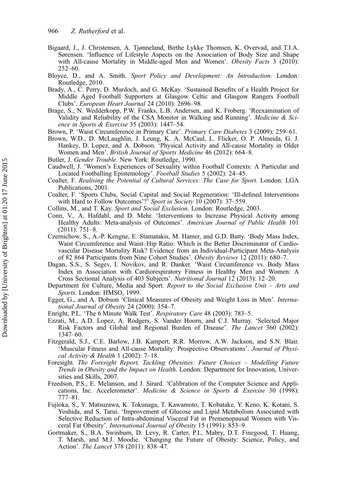- Bigaard, J., J. Christensen, A. Tjønneland, Birthe Lykke Thomsen, K. Overvad, and T.I.A. Sørensen. 'Influence of Lifestyle Aspects on the Association of Body Size and Shape with All-cause Mortality in Middle-aged Men and Women'. Obesity Facts 3 (2010): 252–60.
- Bloyce, D., and A. Smith. Sport Policy and Development: An Introduction. London: Routledge, 2010.
- Brady, A., C. Perry, D. Murdoch, and G. McKay. 'Sustained Benefits of a Health Project for Middle Aged Football Supporters at Glasgow Celtic and Glasgow Rangers Football Clubs'. European Heart Journal 24 (2010): 2696–98.
- Brage, S., N. Wedderkopp, P.W. Franks, L.B. Andersen, and K. Froberg. 'Reexamination of Validity and Reliability of the CSA Monitor in Walking and Running'. *Medicine & Sci*ence in Sports & Exercise 35 (2003): 1447–54.
- Brown, P. 'Waist Circumference in Primary Care'. Primary Care Diabetes 3 (2009): 259–61.
- Brown, W.D., D. McLaughlin, J. Leung, K. A. McCaul, L. Flicker, O. P. Almeida, G. J. Hankey, D. Lopez, and A. Dobson. 'Physical Activity and All-cause Mortality in Older Women and Men'. *British Journal of Sports Medicine* 46 (2012): 664–8.
- Butler, J. Gender Trouble. New York: Routledge, 1990.
- Caudwell, J. 'Women's Experiences of Sexuality within Football Contexts: A Particular and Located Footballing Epistemology'. Football Studies 5 (2002): 24-45.
- Coalter, F. Realising the Potential of Cultural Services: The Case for Sport. London: LGA Publications, 2001.
- Coalter, F. 'Sports Clubs, Social Capital and Social Regeneration: 'Ill-defined Interventions with Hard to Follow Outcomes'?<sup>5</sup> Sport in Society 10 (2007): 37–559.
- Collins, M., and T. Kay. Sport and Social Exclusion. London: Routledge, 2003.
- Conn, V., A. Hafdahl, and D. Mehr. 'Interventions to Increase Physical Activity among Healthy Adults: Meta-analysis of Outcomes'. American Journal of Public Health 101 (2011): 751–8.
- Czernichow, S., A.-P. Kengne, E. Stamatakis, M. Hamer, and G.D. Batty. 'Body Mass Index, Waist Circumference and Waist–Hip Ratio: Which is the Better Discriminator of Cardiovascular Disease Mortality Risk? Evidence from an Individual-Participant Meta-Analysis of 82 864 Participants from Nine Cohort Studies'. Obesity Reviews 12 (2011): 680–7.
- Dagan, S.S., S. Segev, I. Novikov, and R. Danker. 'Waist Circumference vs. Body Mass Index in Association with Cardiorespiratory Fitness in Healthy Men and Women: A Cross Sectional Analysis of 403 Subjects'. Nutritional Journal 12 (2013): 12–20.
- Department for Culture, Media and Sport. Report to the Social Exclusion Unit Arts and Sports. London: HMSO, 1999.
- Egger, G., and A. Dobson 'Clinical Measures of Obesity and Weight Loss in Men'. International Journal of Obesity 24 (2000): 354–7.
- Enright, P.L. 'The 6 Minute Walk Test'. Respiratory Care 48 (2003): 783–5.
- Ezzati, M., A.D. Lopez, A. Rodgers, S. Vander Hoorn, and C.J. Murray. 'Selected Major Risk Factors and Global and Regional Burden of Disease'. The Lancet 360 (2002): 1347–60.
- Fitzgerald, S.J., C.E. Barlow, J.B. Kampert, R.R. Morrow, A.W. Jackson, and S.N. Blair. 'Muscular Fitness and All-cause Mortality: Prospective Observations'. Journal of Physical Activity & Health 1 (2002): 7–18.
- Foresight. The Foresight Report, Tackling Obesities: Future Choices Modelling Future Trends in Obesity and the Impact on Health. London: Department for Innovation, Universities and Skills, 2007.
- Freedson, P.S., E. Melanson, and J. Sirard. 'Calibration of the Computer Science and Applications, Inc. Accelerometer'. Medicine & Science in Sports & Exercise 30 (1998): 777–81.
- Fujioka, S., Y. Matsuzawa, K. Tokunaga, T. Kawamoto, T. Kobatake, Y. Keno, K. Kotani, S. Yoshida, and S. Tarui. 'Improvement of Glucose and Lipid Metabolism Associated with Selective Reduction of Intra-abdominal Visceral Fat in Premenopausal Women with Visceral Fat Obesity'. International Journal of Obesity 15 (1991): 853–9.
- Gortmaker, S., B.A. Swinburn, D. Levy, R. Carter, P.L. Mabry, D.T. Finegood, T. Huang, T. Marsh, and M.J. Moodie. 'Changing the Future of Obesity: Science, Policy, and Action'. The Lancet 378 (2011): 838–47.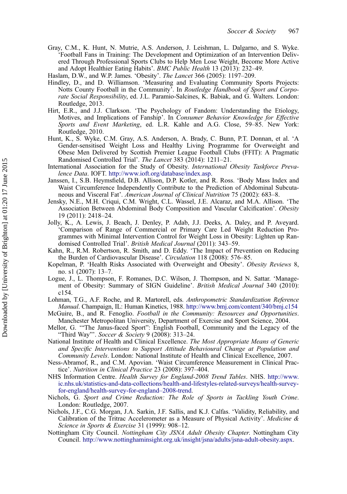Gray, C.M., K. Hunt, N. Mutrie, A.S. Anderson, J. Leishman, L. Dalgarno, and S. Wyke. 'Football Fans in Training: The Development and Optimization of an Intervention Delivered Through Professional Sports Clubs to Help Men Lose Weight, Become More Active and Adopt Healthier Eating Habits'. BMC Public Health 13 (2013): 232–49.

Haslam, D.W., and W.P. James. 'Obesity'. The Lancet 366 (2005): 1197–209.

- Hindley, D., and D. Williamson. 'Measuring and Evaluating Community Sports Projects: Notts County Football in the Community'. In Routledge Handbook of Sport and Corporate Social Responsibility, ed. J.L. Paramio-Salcines, K. Babiak, and G. Walters. London: Routledge, 2013.
- Hirt, E.R., and J.J. Clarkson. 'The Psychology of Fandom: Understanding the Etiology, Motives, and Implications of Fanship'. In Consumer Behavior Knowledge for Effective Sports and Event Marketing, ed. L.R. Kahle and A.G. Close, 59–85. New York: Routledge, 2010.
- Hunt, K., S. Wyke, C.M. Gray, A.S. Anderson, A. Brady, C. Bunn, P.T. Donnan, et al. 'A Gender-sensitised Weight Loss and Healthy Living Programme for Overweight and Obese Men Delivered by Scottish Premier League Football Clubs (FFIT): A Pragmatic Randomised Controlled Trial'. The Lancet 383 (2014): 1211–21.
- International Association for the Study of Obesity. International Obesity Taskforce Prevalence Data. IOFT. [http://www.ioft.org/database/index.asp.](http://www.ioft.org/database/index.asp)
- Janssen, I., S.B. Heymsfield, D.B. Allison, D.P. Kotler, and R. Ross. 'Body Mass Index and Waist Circumference Independently Contribute to the Prediction of Abdominal Subcutaneous and Visceral Fat'. American Journal of Clinical Nutrition 75 (2002): 683–8.
- Jensky, N.E., M.H. Criqui, C.M. Wright, C.L. Wassel, J.E. Alcaraz, and M.A. Allison. 'The Association Between Abdominal Body Composition and Vascular Calcification'. Obesity 19 (2011): 2418–24.
- Jolly, K., A. Lewis, J. Beach, J. Denley, P. Adab, J.J. Deeks, A. Daley, and P. Aveyard. 'Comparison of Range of Commercial or Primary Care Led Weight Reduction Programmes with Minimal Intervention Control for Weight Loss in Obesity: Lighten up Randomised Controlled Trial'. British Medical Journal (2011): 343–59.
- Kahn, R., R.M. Robertson, R. Smith, and D. Eddy. 'The Impact of Prevention on Reducing the Burden of Cardiovascular Disease'. Circulation 118 (2008): 576–85.
- Kopelman, P. 'Health Risks Associated with Overweight and Obesity'. Obesity Reviews 8, no. s1 (2007): 13–7.
- Logue, J., L. Thompson, F. Romanes, D.C. Wilson, J. Thompson, and N. Sattar. 'Management of Obesity: Summary of SIGN Guideline'. British Medical Journal 340 (2010): c154.
- Lohman, T.G., A.F. Roche, and R. Martorell, eds. Anthropometric Standardization Reference Manual. Champaign, IL: Human Kinetics, 1988. <http://www.bmj.com/content/340/bmj.c154>
- McGuire, B., and R. Fenoglio. Football in the Community: Resources and Opportunities. Manchester Metropolitan University, Department of Exercise and Sport Science, 2004.
- Mellor, G. '"The Janus‐faced Sport": English Football, Community and the Legacy of the "Third Way"'. Soccer & Society 9 (2008): 313–24.
- National Institute of Health and Clinical Excellence. The Most Appropriate Means of Generic and Specific Interventions to Support Attitude Behavioural Change at Population and Community Levels. London: National Institute of Health and Clinical Excellence, 2007.
- Ness-Abramof, R., and C.M. Apovian. 'Waist Circumference Measurement in Clinical Practice'. Nutrition in Clinical Practice 23 (2008): 397–404.
- NHS Information Centre. Health Survey for England-2008 Trend Tables. NHS. [http://www.](http://www.ic.nhs.uk/statistics-and-data-collections/health-and-lifestyles-related-surveys/health-survey-for-england/health-survey-for-england–2008-trend) [ic.nhs.uk/statistics-and-data-collections/health-and-lifestyles-related-surveys/health-survey](http://www.ic.nhs.uk/statistics-and-data-collections/health-and-lifestyles-related-surveys/health-survey-for-england/health-survey-for-england–2008-trend)[for-england/health-survey-for-england](http://www.ic.nhs.uk/statistics-and-data-collections/health-and-lifestyles-related-surveys/health-survey-for-england/health-survey-for-england–2008-trend)–2008-trend.
- Nichols, G. Sport and Crime Reduction: The Role of Sports in Tackling Youth Crime. London: Routledge, 2007.
- Nichols, J.F., C.G. Morgan, J.A. Sarkin, J.F. Sallis, and K.J. Calfas. 'Validity, Reliability, and Calibration of the Tritrac Accelerometer as a Measure of Physical Activity'. Medicine & Science in Sports & Exercise 31 (1999): 908–12.
- Nottingham City Council. Nottingham City JSNA Adult Obesity Chapter. Nottingham City Council. <http://www.nottinghaminsight.org.uk/insight/jsna/adults/jsna-adult-obesity.aspx>.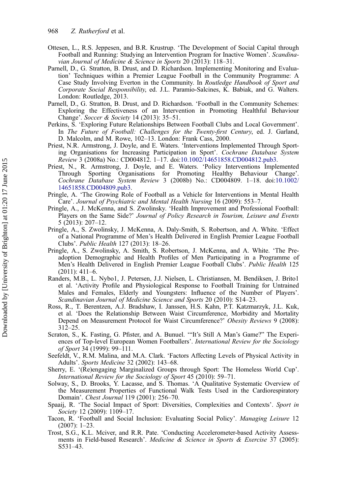- Ottesen, L., R.S. Jeppesen, and B.R. Krustrup. 'The Development of Social Capital through Football and Running: Studying an Intervention Program for Inactive Women'. Scandinavian Journal of Medicine & Science in Sports 20 (2013): 118–31.
- Parnell, D., G. Stratton, B. Drust, and D. Richardson. Implementing Monitoring and Evaluation' Techniques within a Premier League Football in the Community Programme: A Case Study Involving Everton in the Community. In Routledge Handbook of Sport and Corporate Social Responsibility, ed. J.L. Paramio-Salcines, K. Babiak, and G. Walters. London: Routledge, 2013.
- Parnell, D., G. Stratton, B. Drust, and D. Richardson. 'Football in the Community Schemes: Exploring the Effectiveness of an Intervention in Promoting Healthful Behaviour Change'. Soccer & Society 14 (2013): 35–51.
- Perkins, S. 'Exploring Future Relationships Between Football Clubs and Local Government'. In The Future of Football: Challenges for the Twenty-first Century, ed. J. Garland, D. Malcolm, and M. Rowe, 102–13. London: Frank Cass, 2000.
- Priest, N.R. Armstrong, J. Doyle, and E. Waters. 'Interventions Implemented Through Sporting Organisations for Increasing Participation in Sport'. Cochrane Database System Review 3 (2008a) No.: CD004812. 1–17. doi:[10.1002/14651858.CD004812.pub3](http://dx.doi.org/10.1002/14651858.CD004812.pub3).
- Priest, N., R. Armstrong, J. Doyle, and E. Waters. 'Policy Interventions Implemented Through Sporting Organisations for Promoting Healthy Behaviour Change'. Cochrane Database System Review 3 (2008b) No.: CD004809. 1–18. doi:[10.1002/](http://dx.doi.org/10.1002/14651858.CD004809.pub3) [14651858.CD004809.pub3.](http://dx.doi.org/10.1002/14651858.CD004809.pub3)
- Pringle, A. 'The Growing Role of Football as a Vehicle for Interventions in Mental Health Care'. Journal of Psychiatric and Mental Health Nursing 16 (2009): 553–7.
- Pringle, A., J. McKenna, and S. Zwolinsky. 'Health Improvement and Professional Football: Players on the Same Side?' Journal of Policy Research in Tourism, Leisure and Events 5 (2013): 207–12.
- Pringle, A., S. Zwolinsky, J. McKenna, A. Daly-Smith, S. Robertson, and A. White. 'Effect of a National Programme of Men's Health Delivered in English Premier League Football Clubs'. Public Health 127 (2013): 18–26.
- Pringle, A., S. Zwolinsky, A. Smith, S. Robertson, J. McKenna, and A. White. 'The Preadoption Demographic and Health Profiles of Men Participating in a Programme of Men's Health Delivered in English Premier League Football Clubs'. Public Health 125 (2011): 411–6.
- Randers, M.B., L. Nybo1, J. Petersen, J.J. Nielsen, L. Christiansen, M. Bendiksen, J. Brito1 et al. 'Activity Profile and Physiological Response to Football Training for Untrained Males and Females, Elderly and Youngsters: Influence of the Number of Players'. Scandinavian Journal of Medicine Science and Sports 20 (2010): S14–23.
- Ross, R., T. Berentzen, A.J. Bradshaw, I. Janssen, H.S. Kahn, P.T. Katzmarzyk, J.L. Kuk, et al. 'Does the Relationship Between Waist Circumference, Morbidity and Mortality Depend on Measurement Protocol for Waist Circumference?' Obesity Reviews 9 (2008): 312–25.
- Scraton, S., K. Fasting, G. Pfister, and A. Bunuel. '"It's Still A Man's Game?" The Experiences of Top-level European Women Footballers'. International Review for the Sociology of Sport 34 (1999): 99–111.
- Seefeldt, V., R.M. Malina, and M.A. Clark. 'Factors Affecting Levels of Physical Activity in Adults'. Sports Medicine 32 (2002): 143–68.
- Sherry, E. '(Re)engaging Marginalized Groups through Sport: The Homeless World Cup'. International Review for the Sociology of Sport 45 (2010): 59–71.
- Solway, S., D. Brooks, Y. Lacasse, and S. Thomas. 'A Qualitative Systematic Overview of the Measurement Properties of Functional Walk Tests Used in the Cardiorespiratory Domain'. Chest Journal 119 (2001): 256–70.
- Spaaij, R. 'The Social Impact of Sport: Diversities, Complexities and Contexts'. Sport in Society 12 (2009): 1109–17.
- Tacon, R. 'Football and Social Inclusion: Evaluating Social Policy'. Managing Leisure 12 (2007): 1–23.
- Trost, S.G., K.L. Mciver, and R.R. Pate. 'Conducting Accelerometer-based Activity Assessments in Field-based Research'. Medicine & Science in Sports & Exercise 37 (2005): S531–43.